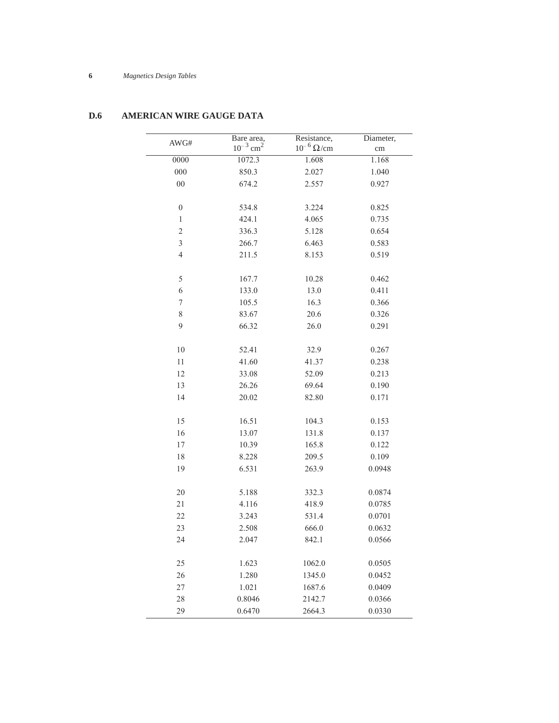## **6** *Magnetics Design Tables*

| AWG#                     | Bare area,<br>$10^{-3}$ cm <sup>2</sup> | Resistance,<br>$10^{-6}\,\Omega/cm$ | Diameter,<br>cm |
|--------------------------|-----------------------------------------|-------------------------------------|-----------------|
| 0000                     | 1072.3                                  | 1.608                               | 1.168           |
| 000                      | 850.3                                   | 2.027                               | 1.040           |
| $00\,$                   | 674.2                                   | 2.557                               | 0.927           |
|                          |                                         |                                     |                 |
| $\boldsymbol{0}$         | 534.8                                   | 3.224                               | 0.825           |
| $\,1$                    | 424.1                                   | 4.065                               | 0.735           |
| $\overline{c}$           | 336.3                                   | 5.128                               | 0.654           |
| 3                        | 266.7                                   | 6.463                               | 0.583           |
| $\overline{4}$           | 211.5                                   | 8.153                               | 0.519           |
|                          |                                         |                                     |                 |
| 5                        | 167.7                                   | 10.28                               | 0.462           |
| 6                        | 133.0                                   | 13.0                                | 0.411           |
| $\overline{\mathcal{I}}$ | 105.5                                   | 16.3                                | 0.366           |
| 8                        | 83.67                                   | 20.6                                | 0.326           |
| 9                        | 66.32                                   | 26.0                                | 0.291           |
|                          |                                         |                                     |                 |
| 10                       | 52.41                                   | 32.9                                | 0.267           |
| 11                       | 41.60                                   | 41.37                               | 0.238           |
| 12                       | 33.08                                   | 52.09                               | 0.213           |
| 13                       | 26.26                                   | 69.64                               | 0.190           |
| 14                       | 20.02                                   | 82.80                               | 0.171           |
|                          |                                         |                                     |                 |
| 15                       | 16.51                                   | 104.3                               | 0.153           |
| 16                       | 13.07                                   | 131.8                               | 0.137           |
| 17                       | 10.39                                   | 165.8                               | 0.122           |
| 18                       | 8.228                                   | 209.5                               | 0.109           |
| 19                       | 6.531                                   | 263.9                               | 0.0948          |
| 20                       | 5.188                                   | 332.3                               | 0.0874          |
| 21                       | 4.116                                   | 418.9                               | 0.0785          |
| 22                       | 3.243                                   | 531.4                               | 0.0701          |
| 23                       | 2.508                                   | 666.0                               | 0.0632          |
| 24                       | 2.047                                   | 842.1                               | 0.0566          |
|                          |                                         |                                     |                 |
| 25                       | 1.623                                   | 1062.0                              | 0.0505          |
| 26                       | 1.280                                   | 1345.0                              | 0.0452          |
| 27                       | 1.021                                   | 1687.6                              | 0.0409          |
| 28                       | 0.8046                                  | 2142.7                              | 0.0366          |
| 29                       | 0.6470                                  | 2664.3                              | 0.0330          |

## **D.6 AMERICAN WIRE GAUGE DATA**